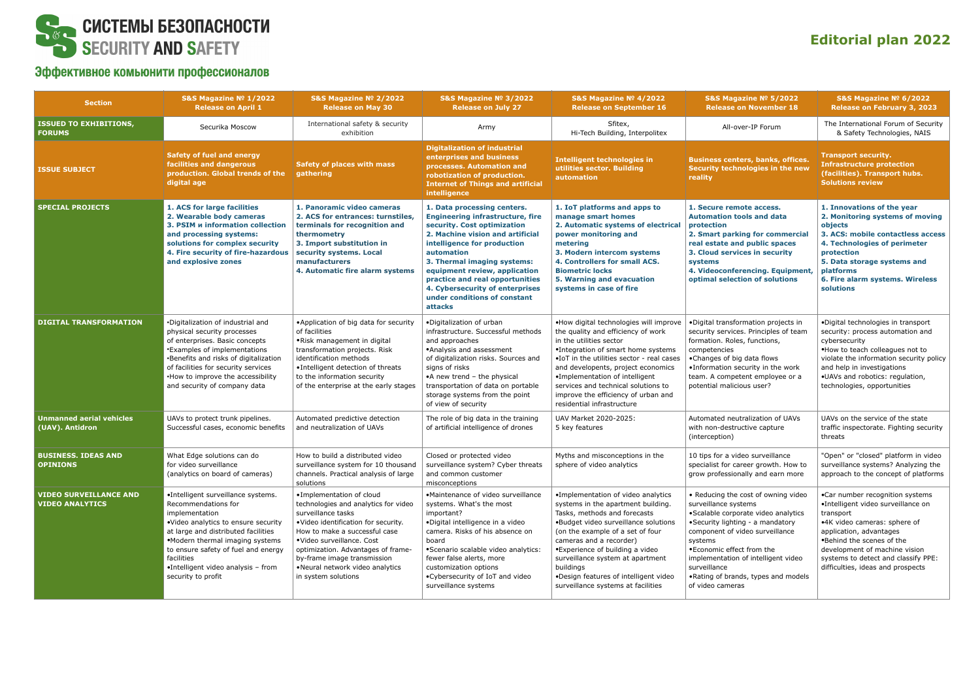

## Эффективное комьюнити профессионалов

## **Editorial plan 2022**

| <b>Section</b>                                          | S&S Magazine $No 1/2022$<br><b>Release on April 1</b>                                                                                                                                                                                                                                                         | S&S Magazine № 2/2022<br><b>Release on May 30</b>                                                                                                                                                                                                                                                                           | S&S Magazine № 3/2022<br><b>Release on July 27</b>                                                                                                                                                                                                                                                                                                                      | S&S Magazine $No$ 4/2022<br><b>Release on September 16</b>                                                                                                                                                                                                                                                                                                                         | S&S Magazine № 5/2022<br><b>Release on November 18</b>                                                                                                                                                                                                                                                                                 | S&S Magazine $No$ 6/2022<br>Release on February 3, 2023                                                                                                                                                                                                                                 |
|---------------------------------------------------------|---------------------------------------------------------------------------------------------------------------------------------------------------------------------------------------------------------------------------------------------------------------------------------------------------------------|-----------------------------------------------------------------------------------------------------------------------------------------------------------------------------------------------------------------------------------------------------------------------------------------------------------------------------|-------------------------------------------------------------------------------------------------------------------------------------------------------------------------------------------------------------------------------------------------------------------------------------------------------------------------------------------------------------------------|------------------------------------------------------------------------------------------------------------------------------------------------------------------------------------------------------------------------------------------------------------------------------------------------------------------------------------------------------------------------------------|----------------------------------------------------------------------------------------------------------------------------------------------------------------------------------------------------------------------------------------------------------------------------------------------------------------------------------------|-----------------------------------------------------------------------------------------------------------------------------------------------------------------------------------------------------------------------------------------------------------------------------------------|
| <b>ISSUED TO EXHIBITIONS,</b><br><b>FORUMS</b>          | Securika Moscow                                                                                                                                                                                                                                                                                               | International safety & security<br>exhibition                                                                                                                                                                                                                                                                               | Army                                                                                                                                                                                                                                                                                                                                                                    | Sfitex,<br>Hi-Tech Building, Interpolitex                                                                                                                                                                                                                                                                                                                                          | All-over-IP Forum                                                                                                                                                                                                                                                                                                                      | The International Forum of Security<br>& Safety Technologies, NAIS                                                                                                                                                                                                                      |
| <b>ISSUE SUBJECT</b>                                    | <b>Safety of fuel and energy</b><br>facilities and dangerous<br>production. Global trends of the<br>digital age                                                                                                                                                                                               | <b>Safety of places with mass</b><br>gathering                                                                                                                                                                                                                                                                              | <b>Digitalization of industrial</b><br>enterprises and business<br>processes. Automation and<br>robotization of production.<br><b>Internet of Things and artificial</b><br>intelligence                                                                                                                                                                                 | <b>Intelligent technologies in</b><br>utilities sector. Building<br>automation                                                                                                                                                                                                                                                                                                     | <b>Business centers, banks, offices.</b><br>Security technologies in the new<br>reality                                                                                                                                                                                                                                                | <b>Transport security.</b><br><b>Infrastructure protection</b><br>(facilities). Transport hubs.<br><b>Solutions review</b>                                                                                                                                                              |
| <b>SPECIAL PROJECTS</b>                                 | 1. ACS for large facilities<br>2. Wearable body cameras<br>3. PSIM <b>u</b> information collection<br>and processing systems:<br>solutions for complex security<br>4. Fire security of fire-hazardous<br>and explosive zones                                                                                  | 1. Panoramic video cameras<br>2. ACS for entrances: turnstiles,<br>terminals for recognition and<br>thermometry<br>3. Import substitution in<br>security systems. Local<br>manufacturers<br>4. Automatic fire alarm systems                                                                                                 | 1. Data processing centers.<br><b>Engineering infrastructure, fire</b><br>security. Cost optimization<br>2. Machine vision and artificial<br>intelligence for production<br>automation<br>3. Thermal imaging systems:<br>equipment review, application<br>practice and real opportunities<br>4. Cybersecurity of enterprises<br>under conditions of constant<br>attacks | 1. IoT platforms and apps to<br>manage smart homes<br>2. Automatic systems of electrical<br>power monitoring and<br>metering<br>3. Modern intercom systems<br>4. Controllers for small ACS.<br><b>Biometric locks</b><br>5. Warning and evacuation<br>systems in case of fire                                                                                                      | 1. Secure remote access.<br><b>Automation tools and data</b><br>protection<br>2. Smart parking for commercial<br>real estate and public spaces<br>3. Cloud services in security<br>systems<br>4. Videoconferencing. Equipment,<br>optimal selection of solutions                                                                       | 1. Innovations of the year<br>2. Monitoring systems of moving<br>objects<br>3. ACS: mobile contactless access<br>4. Technologies of perimeter<br>protection<br>5. Data storage systems and<br>platforms<br>6. Fire alarm systems. Wireless<br>solutions                                 |
| <b>DIGITAL TRANSFORMATION</b>                           | •Digitalization of industrial and<br>physical security processes<br>of enterprises. Basic concepts<br>*Examples of implementations<br>•Benefits and risks of digitalization<br>of facilities for security services<br>. How to improve the accessibility<br>and security of company data                      | • Application of big data for security<br>of facilities<br>.Risk management in digital<br>transformation projects. Risk<br>identification methods<br>· Intelligent detection of threats<br>to the information security<br>of the enterprise at the early stages                                                             | .Digitalization of urban<br>infrastructure. Successful methods<br>and approaches<br>•Analysis and assessment<br>of digitalization risks. Sources and<br>signs of risks<br>•A new trend - the physical<br>transportation of data on portable<br>storage systems from the point<br>of view of security                                                                    | .How digital technologies will improve<br>the quality and efficiency of work<br>in the utilities sector<br>•Integration of smart home systems<br>•IoT in the utilities sector - real cases<br>and developents, project economics<br>•Implementation of intelligent<br>services and technical solutions to<br>improve the efficiency of urban and<br>residential infrastructure     | ·Digital transformation projects in<br>security services. Principles of team<br>formation. Roles, functions,<br>competencies<br>•Changes of big data flows<br>. Information security in the work<br>team. A competent employee or a<br>potential malicious user?                                                                       | ·Digital technologies in transport<br>security: process automation and<br>cybersecurity<br>.How to teach colleagues not to<br>violate the information security policy<br>and help in investigations<br>.UAVs and robotics: regulation,<br>technologies, opportunities                   |
| <b>Unmanned aerial vehicles</b><br>(UAV). Antidron      | UAVs to protect trunk pipelines.<br>Successful cases, economic benefits                                                                                                                                                                                                                                       | Automated predictive detection<br>and neutralization of UAVs                                                                                                                                                                                                                                                                | The role of big data in the training<br>of artificial intelligence of drones                                                                                                                                                                                                                                                                                            | UAV Market 2020-2025:<br>5 key features                                                                                                                                                                                                                                                                                                                                            | Automated neutralization of UAVs<br>with non-destructive capture<br>(interception)                                                                                                                                                                                                                                                     | UAVs on the service of the state<br>traffic inspectorate. Fighting security<br>threats                                                                                                                                                                                                  |
| <b>BUSINESS. IDEAS AND</b><br><b>OPINIONS</b>           | What Edge solutions can do<br>for video surveillance<br>(analytics on board of cameras)                                                                                                                                                                                                                       | How to build a distributed video<br>surveillance system for 10 thousand<br>channels. Practical analysis of large<br>solutions                                                                                                                                                                                               | Closed or protected video<br>surveillance system? Cyber threats<br>and common customer<br>misconceptions                                                                                                                                                                                                                                                                | Myths and misconceptions in the<br>sphere of video analytics                                                                                                                                                                                                                                                                                                                       | 10 tips for a video surveillance<br>specialist for career growth. How to<br>grow professionally and earn more                                                                                                                                                                                                                          | "Open" or "closed" platform in video<br>surveillance systems? Analyzing the<br>approach to the concept of platforms                                                                                                                                                                     |
| <b>VIDEO SURVEILLANCE AND</b><br><b>VIDEO ANALYTICS</b> | •Intelligent surveillance systems.<br>Recommendations for<br>implementation<br>.Video analytics to ensure security<br>at large and distributed facilities<br>.Modern thermal imaging systems<br>to ensure safety of fuel and energy<br>facilities<br>•Intelligent video analysis - from<br>security to profit | . Implementation of cloud<br>technologies and analytics for video<br>surveillance tasks<br>.Video identification for security.<br>How to make a successful case<br>•Video surveillance. Cost<br>optimization. Advantages of frame-<br>by-frame image transmission<br>•Neural network video analytics<br>in system solutions | •Maintenance of video surveillance<br>systems. What's the most<br>important?<br>·Digital intelligence in a video<br>camera. Risks of his absence on<br>board<br>• Scenario scalable video analytics:<br>fewer false alerts, more<br>customization options<br>. Cybersecurity of IoT and video<br>surveillance systems                                                   | •Implementation of video analytics<br>systems in the apartment building.<br>Tasks, methods and forecasts<br>.Budget video surveillance solutions<br>(on the example of a set of four<br>cameras and a recorder)<br>•Experience of building a video<br>surveillance system at apartment<br>buildings<br>.Design features of intelligent video<br>surveillance systems at facilities | • Reducing the cost of owning video<br>surveillance systems<br>• Scalable corporate video analytics<br>•Security lighting - a mandatory<br>component of video surveillance<br>systems<br>. Economic effect from the<br>implementation of intelligent video<br>surveillance<br>. Rating of brands, types and models<br>of video cameras | .Car number recognition systems<br>•Intelligent video surveillance on<br>transport<br>•4K video cameras: sphere of<br>application, advantages<br>.Behind the scenes of the<br>development of machine vision<br>systems to detect and classify PPE:<br>difficulties, ideas and prospects |